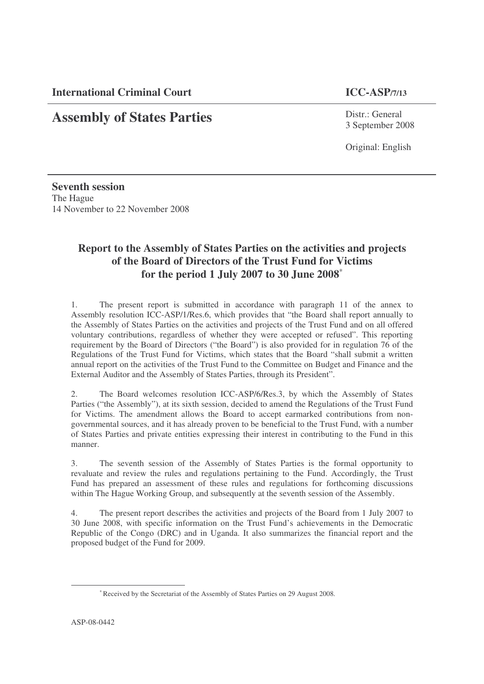**International Criminal Court ICC-ASP/7/13**

# **Assembly of States Parties**

Distr.: General 3 September 2008

Original: English

**Seventh session** The Hague 14 November to 22 November 2008

# **Report to the Assembly of States Parties on the activities and projects of the Board of Directors of the Trust Fund for Victims for the period 1 July 2007 to 30 June 2008** ∗

1. The present report is submitted in accordance with paragraph 11 of the annex to Assembly resolution ICC-ASP/1/Res.6, which provides that "the Board shall report annually to the Assembly of States Parties on the activities and projects of the Trust Fund and on all offered voluntary contributions, regardless of whether they were accepted or refused". This reporting requirement by the Board of Directors ("the Board") is also provided for in regulation 76 of the Regulations of the Trust Fund for Victims, which states that the Board "shall submit a written annual report on the activities of the Trust Fund to the Committee on Budget and Finance and the External Auditor and the Assembly of States Parties, through its President".

2. The Board welcomes resolution ICC-ASP/6/Res.3, by which the Assembly of States Parties ("the Assembly"), at its sixth session, decided to amend the Regulations of the Trust Fund for Victims. The amendment allows the Board to accept earmarked contributions from nongovernmental sources, and it has already proven to be beneficial to the Trust Fund, with a number of States Parties and private entities expressing their interest in contributing to the Fund in this manner.

3. The seventh session of the Assembly of States Parties is the formal opportunity to revaluate and review the rules and regulations pertaining to the Fund. Accordingly, the Trust Fund has prepared an assessment of these rules and regulations for forthcoming discussions within The Hague Working Group, and subsequently at the seventh session of the Assembly.

4. The present report describes the activities and projects of the Board from 1 July 2007 to 30 June 2008, with specific information on the Trust Fund's achievements in the Democratic Republic of the Congo (DRC) and in Uganda. It also summarizes the financial report and the proposed budget of the Fund for 2009.

<sup>∗</sup>Received by the Secretariat of the Assembly of States Parties on 29 August 2008.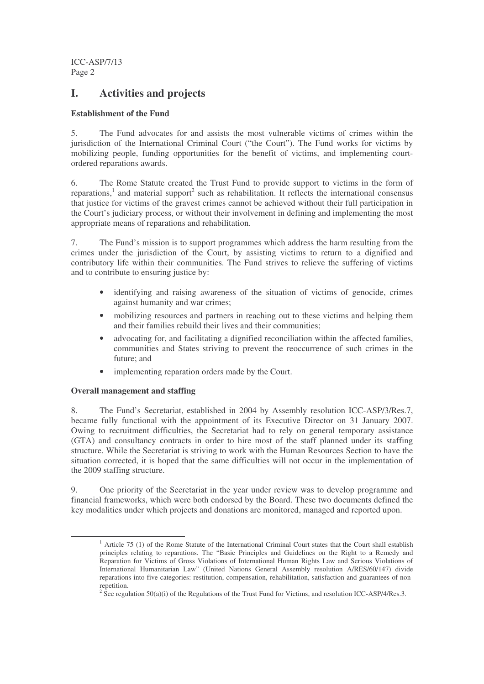## **I. Activities and projects**

## **Establishment of the Fund**

5. The Fund advocates for and assists the most vulnerable victims of crimes within the jurisdiction of the International Criminal Court ("the Court"). The Fund works for victims by mobilizing people, funding opportunities for the benefit of victims, and implementing courtordered reparations awards.

6. The Rome Statute created the Trust Fund to provide support to victims in the form of reparations,<sup>1</sup> and material support<sup>2</sup> such as rehabilitation. It reflects the international consensus that justice for victims of the gravest crimes cannot be achieved without their full participation in the Court's judiciary process, or without their involvement in defining and implementing the most appropriate means of reparations and rehabilitation.

7. The Fund's mission is to support programmes which address the harm resulting from the crimes under the jurisdiction of the Court, by assisting victims to return to a dignified and contributory life within their communities. The Fund strives to relieve the suffering of victims and to contribute to ensuring justice by:

- identifying and raising awareness of the situation of victims of genocide, crimes against humanity and war crimes;
- mobilizing resources and partners in reaching out to these victims and helping them and their families rebuild their lives and their communities;
- advocating for, and facilitating a dignified reconciliation within the affected families, communities and States striving to prevent the reoccurrence of such crimes in the future; and
- implementing reparation orders made by the Court.

## **Overall management and staffing**

8. The Fund's Secretariat, established in 2004 by Assembly resolution ICC-ASP/3/Res.7, became fully functional with the appointment of its Executive Director on 31 January 2007. Owing to recruitment difficulties, the Secretariat had to rely on general temporary assistance (GTA) and consultancy contracts in order to hire most of the staff planned under its staffing structure. While the Secretariat is striving to work with the Human Resources Section to have the situation corrected, it is hoped that the same difficulties will not occur in the implementation of the 2009 staffing structure.

9. One priority of the Secretariat in the year under review was to develop programme and financial frameworks, which were both endorsed by the Board. These two documents defined the key modalities under which projects and donations are monitored, managed and reported upon.

<sup>&</sup>lt;sup>1</sup> Article 75 (1) of the Rome Statute of the International Criminal Court states that the Court shall establish principles relating to reparations. The "Basic Principles and Guidelines on the Right to a Remedy and Reparation for Victims of Gross Violations of International Human Rights Law and Serious Violations of International Humanitarian Law" (United Nations General Assembly resolution A/RES/60/147) divide reparations into five categories: restitution, compensation, rehabilitation, satisfaction and guarantees of nonrepetition.

<sup>&</sup>lt;sup>2</sup> See regulation  $50(a)(i)$  of the Regulations of the Trust Fund for Victims, and resolution ICC-ASP/4/Res.3.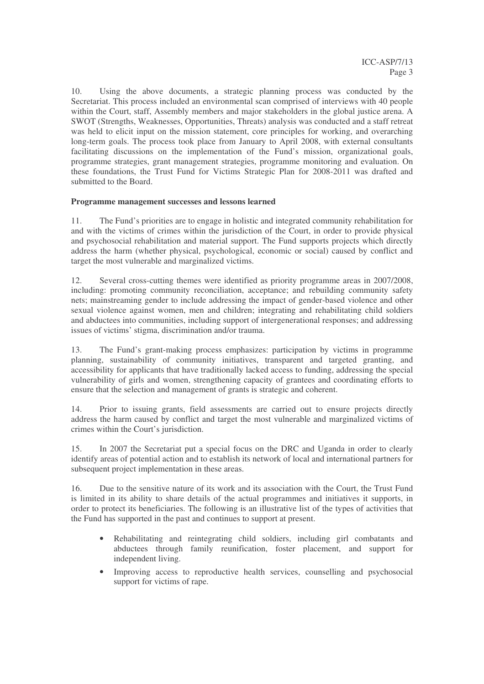10. Using the above documents, a strategic planning process was conducted by the Secretariat. This process included an environmental scan comprised of interviews with 40 people within the Court, staff, Assembly members and major stakeholders in the global justice arena. A SWOT (Strengths, Weaknesses, Opportunities, Threats) analysis was conducted and a staff retreat was held to elicit input on the mission statement, core principles for working, and overarching long-term goals. The process took place from January to April 2008, with external consultants facilitating discussions on the implementation of the Fund's mission, organizational goals, programme strategies, grant management strategies, programme monitoring and evaluation. On these foundations, the Trust Fund for Victims Strategic Plan for 2008-2011 was drafted and submitted to the Board.

## **Programme management successes and lessons learned**

11. The Fund's priorities are to engage in holistic and integrated community rehabilitation for and with the victims of crimes within the jurisdiction of the Court, in order to provide physical and psychosocial rehabilitation and material support. The Fund supports projects which directly address the harm (whether physical, psychological, economic or social) caused by conflict and target the most vulnerable and marginalized victims.

12. Several cross-cutting themes were identified as priority programme areas in 2007/2008, including: promoting community reconciliation, acceptance; and rebuilding community safety nets; mainstreaming gender to include addressing the impact of gender-based violence and other sexual violence against women, men and children; integrating and rehabilitating child soldiers and abductees into communities, including support of intergenerational responses; and addressing issues of victims' stigma, discrimination and/or trauma.

13. The Fund's grant-making process emphasizes: participation by victims in programme planning, sustainability of community initiatives, transparent and targeted granting, and accessibility for applicants that have traditionally lacked access to funding, addressing the special vulnerability of girls and women, strengthening capacity of grantees and coordinating efforts to ensure that the selection and management of grants is strategic and coherent.

14. Prior to issuing grants, field assessments are carried out to ensure projects directly address the harm caused by conflict and target the most vulnerable and marginalized victims of crimes within the Court's jurisdiction.

15. In 2007 the Secretariat put a special focus on the DRC and Uganda in order to clearly identify areas of potential action and to establish its network of local and international partners for subsequent project implementation in these areas.

16. Due to the sensitive nature of its work and its association with the Court, the Trust Fund is limited in its ability to share details of the actual programmes and initiatives it supports, in order to protect its beneficiaries. The following is an illustrative list of the types of activities that the Fund has supported in the past and continues to support at present.

- Rehabilitating and reintegrating child soldiers, including girl combatants and abductees through family reunification, foster placement, and support for independent living.
- Improving access to reproductive health services, counselling and psychosocial support for victims of rape.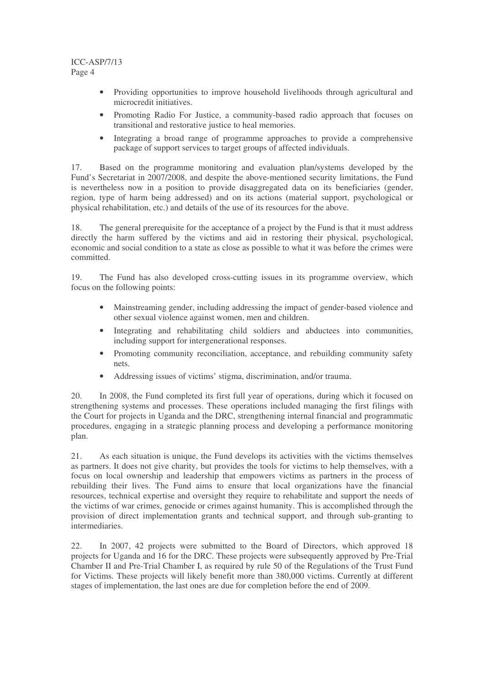- Providing opportunities to improve household livelihoods through agricultural and microcredit initiatives.
- Promoting Radio For Justice, a community-based radio approach that focuses on transitional and restorative justice to heal memories.
- Integrating a broad range of programme approaches to provide a comprehensive package of support services to target groups of affected individuals.

17. Based on the programme monitoring and evaluation plan/systems developed by the Fund's Secretariat in 2007/2008, and despite the above-mentioned security limitations, the Fund is nevertheless now in a position to provide disaggregated data on its beneficiaries (gender, region, type of harm being addressed) and on its actions (material support, psychological or physical rehabilitation, etc.) and details of the use of its resources for the above.

18. The general prerequisite for the acceptance of a project by the Fund is that it must address directly the harm suffered by the victims and aid in restoring their physical, psychological, economic and social condition to a state as close as possible to what it was before the crimes were committed.

19. The Fund has also developed cross-cutting issues in its programme overview, which focus on the following points:

- Mainstreaming gender, including addressing the impact of gender-based violence and other sexual violence against women, men and children.
- Integrating and rehabilitating child soldiers and abductees into communities, including support for intergenerational responses.
- Promoting community reconciliation, acceptance, and rebuilding community safety nets.
- Addressing issues of victims' stigma, discrimination, and/or trauma.

20. In 2008, the Fund completed its first full year of operations, during which it focused on strengthening systems and processes. These operations included managing the first filings with the Court for projects in Uganda and the DRC, strengthening internal financial and programmatic procedures, engaging in a strategic planning process and developing a performance monitoring plan.

21. As each situation is unique, the Fund develops its activities with the victims themselves as partners. It does not give charity, but provides the tools for victims to help themselves, with a focus on local ownership and leadership that empowers victims as partners in the process of rebuilding their lives. The Fund aims to ensure that local organizations have the financial resources, technical expertise and oversight they require to rehabilitate and support the needs of the victims of war crimes, genocide or crimes against humanity. This is accomplished through the provision of direct implementation grants and technical support, and through sub-granting to intermediaries.

22. In 2007, 42 projects were submitted to the Board of Directors, which approved 18 projects for Uganda and 16 for the DRC. These projects were subsequently approved by Pre-Trial Chamber II and Pre-Trial Chamber I, as required by rule 50 of the Regulations of the Trust Fund for Victims. These projects will likely benefit more than 380,000 victims. Currently at different stages of implementation, the last ones are due for completion before the end of 2009.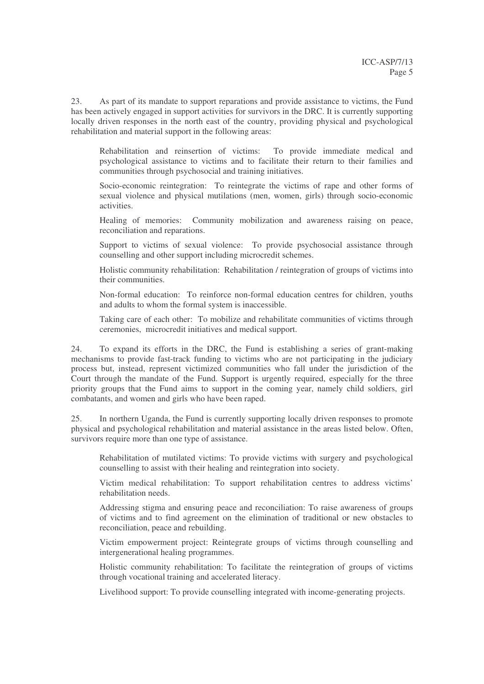23. As part of its mandate to support reparations and provide assistance to victims, the Fund has been actively engaged in support activities for survivors in the DRC. It is currently supporting locally driven responses in the north east of the country, providing physical and psychological rehabilitation and material support in the following areas:

Rehabilitation and reinsertion of victims: To provide immediate medical and psychological assistance to victims and to facilitate their return to their families and communities through psychosocial and training initiatives.

Socio-economic reintegration: To reintegrate the victims of rape and other forms of sexual violence and physical mutilations (men, women, girls) through socio-economic activities.

Healing of memories: Community mobilization and awareness raising on peace, reconciliation and reparations.

Support to victims of sexual violence: To provide psychosocial assistance through counselling and other support including microcredit schemes.

Holistic community rehabilitation: Rehabilitation / reintegration of groups of victims into their communities.

Non-formal education: To reinforce non-formal education centres for children, youths and adults to whom the formal system is inaccessible.

Taking care of each other: To mobilize and rehabilitate communities of victims through ceremonies, microcredit initiatives and medical support.

24. To expand its efforts in the DRC, the Fund is establishing a series of grant-making mechanisms to provide fast-track funding to victims who are not participating in the judiciary process but, instead, represent victimized communities who fall under the jurisdiction of the Court through the mandate of the Fund. Support is urgently required, especially for the three priority groups that the Fund aims to support in the coming year, namely child soldiers, girl combatants, and women and girls who have been raped.

25. In northern Uganda, the Fund is currently supporting locally driven responses to promote physical and psychological rehabilitation and material assistance in the areas listed below. Often, survivors require more than one type of assistance.

Rehabilitation of mutilated victims: To provide victims with surgery and psychological counselling to assist with their healing and reintegration into society.

Victim medical rehabilitation: To support rehabilitation centres to address victims' rehabilitation needs.

Addressing stigma and ensuring peace and reconciliation: To raise awareness of groups of victims and to find agreement on the elimination of traditional or new obstacles to reconciliation, peace and rebuilding.

Victim empowerment project: Reintegrate groups of victims through counselling and intergenerational healing programmes.

Holistic community rehabilitation: To facilitate the reintegration of groups of victims through vocational training and accelerated literacy.

Livelihood support: To provide counselling integrated with income-generating projects.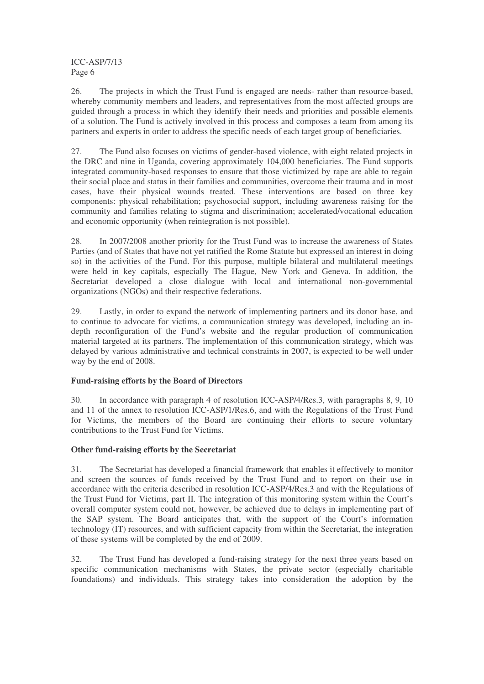26. The projects in which the Trust Fund is engaged are needs- rather than resource-based, whereby community members and leaders, and representatives from the most affected groups are guided through a process in which they identify their needs and priorities and possible elements of a solution. The Fund is actively involved in this process and composes a team from among its partners and experts in order to address the specific needs of each target group of beneficiaries.

27. The Fund also focuses on victims of gender-based violence, with eight related projects in the DRC and nine in Uganda, covering approximately 104,000 beneficiaries. The Fund supports integrated community-based responses to ensure that those victimized by rape are able to regain their social place and status in their families and communities, overcome their trauma and in most cases, have their physical wounds treated. These interventions are based on three key components: physical rehabilitation; psychosocial support, including awareness raising for the community and families relating to stigma and discrimination; accelerated/vocational education and economic opportunity (when reintegration is not possible).

28. In 2007/2008 another priority for the Trust Fund was to increase the awareness of States Parties (and of States that have not yet ratified the Rome Statute but expressed an interest in doing so) in the activities of the Fund. For this purpose, multiple bilateral and multilateral meetings were held in key capitals, especially The Hague, New York and Geneva. In addition, the Secretariat developed a close dialogue with local and international non-governmental organizations (NGOs) and their respective federations.

29. Lastly, in order to expand the network of implementing partners and its donor base, and to continue to advocate for victims, a communication strategy was developed, including an indepth reconfiguration of the Fund's website and the regular production of communication material targeted at its partners. The implementation of this communication strategy, which was delayed by various administrative and technical constraints in 2007, is expected to be well under way by the end of 2008.

## **Fund-raising efforts by the Board of Directors**

30. In accordance with paragraph 4 of resolution ICC-ASP/4/Res.3, with paragraphs 8, 9, 10 and 11 of the annex to resolution ICC-ASP/1/Res.6, and with the Regulations of the Trust Fund for Victims, the members of the Board are continuing their efforts to secure voluntary contributions to the Trust Fund for Victims.

## **Other fund-raising efforts by the Secretariat**

31. The Secretariat has developed a financial framework that enables it effectively to monitor and screen the sources of funds received by the Trust Fund and to report on their use in accordance with the criteria described in resolution ICC-ASP/4/Res.3 and with the Regulations of the Trust Fund for Victims, part II. The integration of this monitoring system within the Court's overall computer system could not, however, be achieved due to delays in implementing part of the SAP system. The Board anticipates that, with the support of the Court's information technology (IT) resources, and with sufficient capacity from within the Secretariat, the integration of these systems will be completed by the end of 2009.

32. The Trust Fund has developed a fund-raising strategy for the next three years based on specific communication mechanisms with States, the private sector (especially charitable foundations) and individuals. This strategy takes into consideration the adoption by the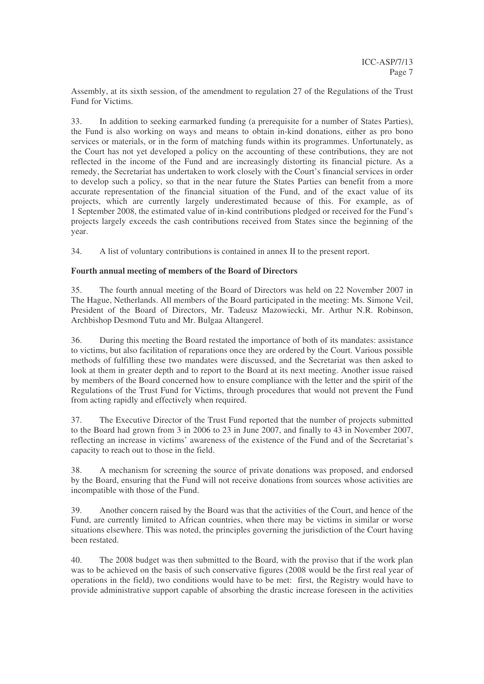Assembly, at its sixth session, of the amendment to regulation 27 of the Regulations of the Trust Fund for Victims.

33. In addition to seeking earmarked funding (a prerequisite for a number of States Parties), the Fund is also working on ways and means to obtain in-kind donations, either as pro bono services or materials, or in the form of matching funds within its programmes. Unfortunately, as the Court has not yet developed a policy on the accounting of these contributions, they are not reflected in the income of the Fund and are increasingly distorting its financial picture. As a remedy, the Secretariat has undertaken to work closely with the Court's financial services in order to develop such a policy, so that in the near future the States Parties can benefit from a more accurate representation of the financial situation of the Fund, and of the exact value of its projects, which are currently largely underestimated because of this. For example, as of 1 September 2008, the estimated value of in-kind contributions pledged or received for the Fund's projects largely exceeds the cash contributions received from States since the beginning of the year.

34. A list of voluntary contributions is contained in annex II to the present report.

## **Fourth annual meeting of members of the Board of Directors**

35. The fourth annual meeting of the Board of Directors was held on 22 November 2007 in The Hague, Netherlands. All members of the Board participated in the meeting: Ms. Simone Veil, President of the Board of Directors, Mr. Tadeusz Mazowiecki, Mr. Arthur N.R. Robinson, Archbishop Desmond Tutu and Mr. Bulgaa Altangerel.

36. During this meeting the Board restated the importance of both of its mandates: assistance to victims, but also facilitation of reparations once they are ordered by the Court. Various possible methods of fulfilling these two mandates were discussed, and the Secretariat was then asked to look at them in greater depth and to report to the Board at its next meeting. Another issue raised by members of the Board concerned how to ensure compliance with the letter and the spirit of the Regulations of the Trust Fund for Victims, through procedures that would not prevent the Fund from acting rapidly and effectively when required.

37. The Executive Director of the Trust Fund reported that the number of projects submitted to the Board had grown from 3 in 2006 to 23 in June 2007, and finally to 43 in November 2007, reflecting an increase in victims' awareness of the existence of the Fund and of the Secretariat's capacity to reach out to those in the field.

38. A mechanism for screening the source of private donations was proposed, and endorsed by the Board, ensuring that the Fund will not receive donations from sources whose activities are incompatible with those of the Fund.

39. Another concern raised by the Board was that the activities of the Court, and hence of the Fund, are currently limited to African countries, when there may be victims in similar or worse situations elsewhere. This was noted, the principles governing the jurisdiction of the Court having been restated.

40. The 2008 budget was then submitted to the Board, with the proviso that if the work plan was to be achieved on the basis of such conservative figures (2008 would be the first real year of operations in the field), two conditions would have to be met: first, the Registry would have to provide administrative support capable of absorbing the drastic increase foreseen in the activities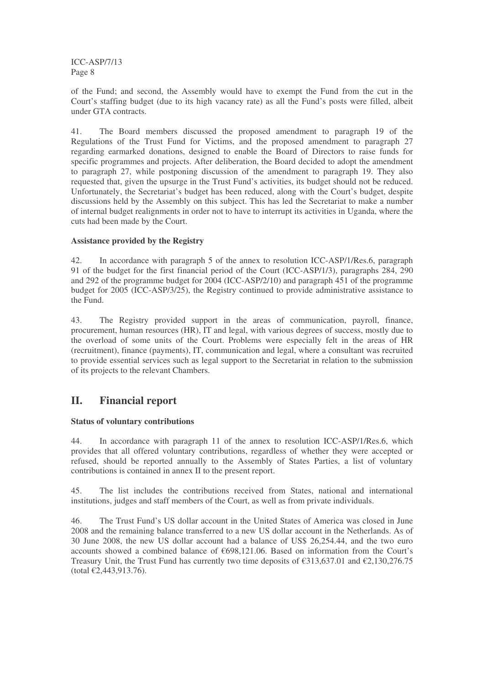of the Fund; and second, the Assembly would have to exempt the Fund from the cut in the Court's staffing budget (due to its high vacancy rate) as all the Fund's posts were filled, albeit under GTA contracts.

41. The Board members discussed the proposed amendment to paragraph 19 of the Regulations of the Trust Fund for Victims, and the proposed amendment to paragraph 27 regarding earmarked donations, designed to enable the Board of Directors to raise funds for specific programmes and projects. After deliberation, the Board decided to adopt the amendment to paragraph 27, while postponing discussion of the amendment to paragraph 19. They also requested that, given the upsurge in the Trust Fund's activities, its budget should not be reduced. Unfortunately, the Secretariat's budget has been reduced, along with the Court's budget, despite discussions held by the Assembly on this subject. This has led the Secretariat to make a number of internal budget realignments in order not to have to interrupt its activities in Uganda, where the cuts had been made by the Court.

## **Assistance provided by the Registry**

42. In accordance with paragraph 5 of the annex to resolution ICC-ASP/1/Res.6, paragraph 91 of the budget for the first financial period of the Court (ICC-ASP/1/3), paragraphs 284, 290 and 292 of the programme budget for 2004 (ICC-ASP/2/10) and paragraph 451 of the programme budget for 2005 (ICC-ASP/3/25), the Registry continued to provide administrative assistance to the Fund.

43. The Registry provided support in the areas of communication, payroll, finance, procurement, human resources (HR), IT and legal, with various degrees of success, mostly due to the overload of some units of the Court. Problems were especially felt in the areas of HR (recruitment), finance (payments), IT, communication and legal, where a consultant was recruited to provide essential services such as legal support to the Secretariat in relation to the submission of its projects to the relevant Chambers.

## **II. Financial report**

## **Status of voluntary contributions**

44. In accordance with paragraph 11 of the annex to resolution ICC-ASP/1/Res.6, which provides that all offered voluntary contributions, regardless of whether they were accepted or refused, should be reported annually to the Assembly of States Parties, a list of voluntary contributions is contained in annex II to the present report.

45. The list includes the contributions received from States, national and international institutions, judges and staff members of the Court, as well as from private individuals.

46. The Trust Fund's US dollar account in the United States of America was closed in June 2008 and the remaining balance transferred to a new US dollar account in the Netherlands. As of 30 June 2008, the new US dollar account had a balance of US\$ 26,254.44, and the two euro accounts showed a combined balance of €698,121.06. Based on information from the Court's Treasury Unit, the Trust Fund has currently two time deposits of  $\text{\textsterling}313,637.01$  and  $\text{\textsterling}2,130,276.75$ (total €2,443,913.76).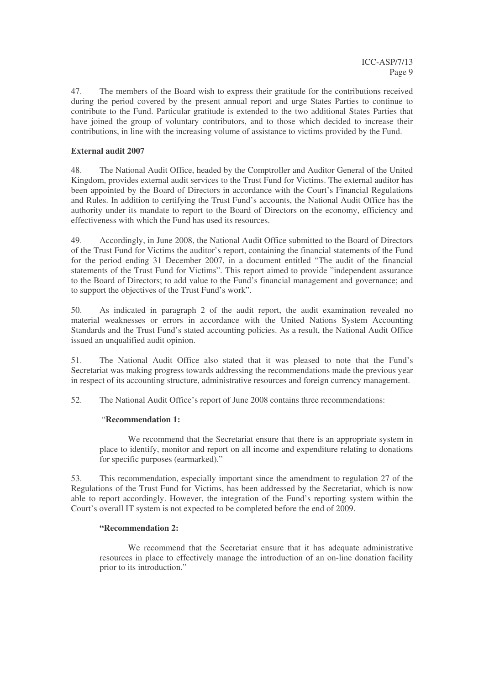47. The members of the Board wish to express their gratitude for the contributions received during the period covered by the present annual report and urge States Parties to continue to contribute to the Fund. Particular gratitude is extended to the two additional States Parties that have joined the group of voluntary contributors, and to those which decided to increase their contributions, in line with the increasing volume of assistance to victims provided by the Fund.

## **External audit 2007**

48. The National Audit Office, headed by the Comptroller and Auditor General of the United Kingdom, provides external audit services to the Trust Fund for Victims. The external auditor has been appointed by the Board of Directors in accordance with the Court's Financial Regulations and Rules. In addition to certifying the Trust Fund's accounts, the National Audit Office has the authority under its mandate to report to the Board of Directors on the economy, efficiency and effectiveness with which the Fund has used its resources.

49. Accordingly, in June 2008, the National Audit Office submitted to the Board of Directors of the Trust Fund for Victims the auditor's report, containing the financial statements of the Fund for the period ending 31 December 2007, in a document entitled "The audit of the financial statements of the Trust Fund for Victims". This report aimed to provide "independent assurance to the Board of Directors; to add value to the Fund's financial management and governance; and to support the objectives of the Trust Fund's work".

50. As indicated in paragraph 2 of the audit report, the audit examination revealed no material weaknesses or errors in accordance with the United Nations System Accounting Standards and the Trust Fund's stated accounting policies. As a result, the National Audit Office issued an unqualified audit opinion.

51. The National Audit Office also stated that it was pleased to note that the Fund's Secretariat was making progress towards addressing the recommendations made the previous year in respect of its accounting structure, administrative resources and foreign currency management.

52. The National Audit Office's report of June 2008 contains three recommendations:

## "**Recommendation 1:**

We recommend that the Secretariat ensure that there is an appropriate system in place to identify, monitor and report on all income and expenditure relating to donations for specific purposes (earmarked)."

53. This recommendation, especially important since the amendment to regulation 27 of the Regulations of the Trust Fund for Victims, has been addressed by the Secretariat, which is now able to report accordingly. However, the integration of the Fund's reporting system within the Court's overall IT system is not expected to be completed before the end of 2009.

## **"Recommendation 2:**

We recommend that the Secretariat ensure that it has adequate administrative resources in place to effectively manage the introduction of an on-line donation facility prior to its introduction."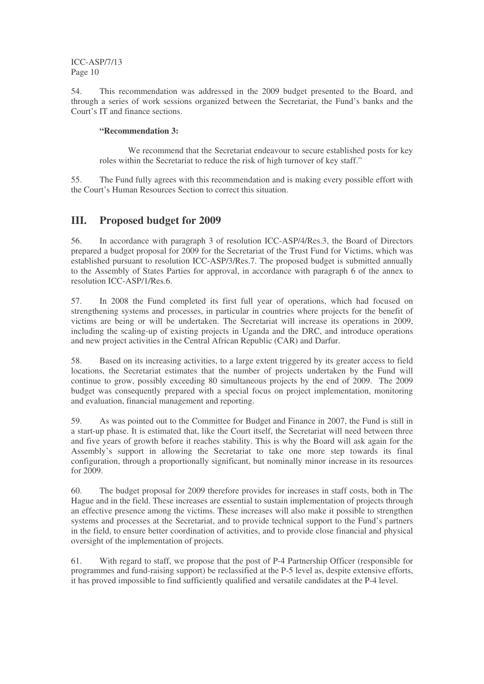54. This recommendation was addressed in the 2009 budget presented to the Board, and through a series of work sessions organized between the Secretariat, the Fund's banks and the Court's IT and finance sections.

## **"Recommendation 3:**

We recommend that the Secretariat endeavour to secure established posts for key roles within the Secretariat to reduce the risk of high turnover of key staff."

55. The Fund fully agrees with this recommendation and is making every possible effort with the Court's Human Resources Section to correct this situation.

## **III. Proposed budget for 2009**

56. In accordance with paragraph 3 of resolution ICC-ASP/4/Res.3, the Board of Directors prepared a budget proposal for 2009 for the Secretariat of the Trust Fund for Victims, which was established pursuant to resolution ICC-ASP/3/Res.7. The proposed budget is submitted annually to the Assembly of States Parties for approval, in accordance with paragraph 6 of the annex to resolution ICC-ASP/1/Res.6.

57. In 2008 the Fund completed its first full year of operations, which had focused on strengthening systems and processes, in particular in countries where projects for the benefit of victims are being or will be undertaken. The Secretariat will increase its operations in 2009, including the scaling-up of existing projects in Uganda and the DRC, and introduce operations and new project activities in the Central African Republic (CAR) and Darfur.

58. Based on its increasing activities, to a large extent triggered by its greater access to field locations, the Secretariat estimates that the number of projects undertaken by the Fund will continue to grow, possibly exceeding 80 simultaneous projects by the end of 2009. The 2009 budget was consequently prepared with a special focus on project implementation, monitoring and evaluation, financial management and reporting.

59. As was pointed out to the Committee for Budget and Finance in 2007, the Fund is still in a start-up phase. It is estimated that, like the Court itself, the Secretariat will need between three and five years of growth before it reaches stability. This is why the Board will ask again for the Assembly's support in allowing the Secretariat to take one more step towards its final configuration, through a proportionally significant, but nominally minor increase in its resources for 2009.

60. The budget proposal for 2009 therefore provides for increases in staff costs, both in The Hague and in the field. These increases are essential to sustain implementation of projects through an effective presence among the victims. These increases will also make it possible to strengthen systems and processes at the Secretariat, and to provide technical support to the Fund's partners in the field, to ensure better coordination of activities, and to provide close financial and physical oversight of the implementation of projects.

61. With regard to staff, we propose that the post of P-4 Partnership Officer (responsible for programmes and fund-raising support) be reclassified at the P-5 level as, despite extensive efforts, it has proved impossible to find sufficiently qualified and versatile candidates at the P-4 level.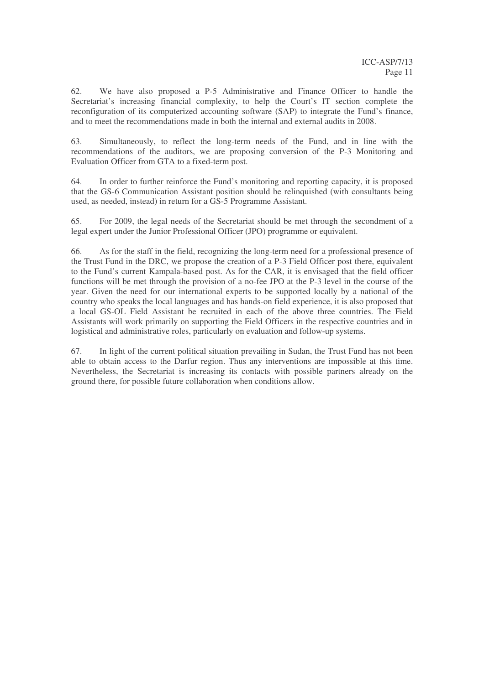62. We have also proposed a P-5 Administrative and Finance Officer to handle the Secretariat's increasing financial complexity, to help the Court's IT section complete the reconfiguration of its computerized accounting software (SAP) to integrate the Fund's finance, and to meet the recommendations made in both the internal and external audits in 2008.

63. Simultaneously, to reflect the long-term needs of the Fund, and in line with the recommendations of the auditors, we are proposing conversion of the P-3 Monitoring and Evaluation Officer from GTA to a fixed-term post.

64. In order to further reinforce the Fund's monitoring and reporting capacity, it is proposed that the GS-6 Communication Assistant position should be relinquished (with consultants being used, as needed, instead) in return for a GS-5 Programme Assistant.

65. For 2009, the legal needs of the Secretariat should be met through the secondment of a legal expert under the Junior Professional Officer (JPO) programme or equivalent.

66. As for the staff in the field, recognizing the long-term need for a professional presence of the Trust Fund in the DRC, we propose the creation of a P-3 Field Officer post there, equivalent to the Fund's current Kampala-based post. As for the CAR, it is envisaged that the field officer functions will be met through the provision of a no-fee JPO at the P-3 level in the course of the year. Given the need for our international experts to be supported locally by a national of the country who speaks the local languages and has hands-on field experience, it is also proposed that a local GS-OL Field Assistant be recruited in each of the above three countries. The Field Assistants will work primarily on supporting the Field Officers in the respective countries and in logistical and administrative roles, particularly on evaluation and follow-up systems.

67. In light of the current political situation prevailing in Sudan, the Trust Fund has not been able to obtain access to the Darfur region. Thus any interventions are impossible at this time. Nevertheless, the Secretariat is increasing its contacts with possible partners already on the ground there, for possible future collaboration when conditions allow.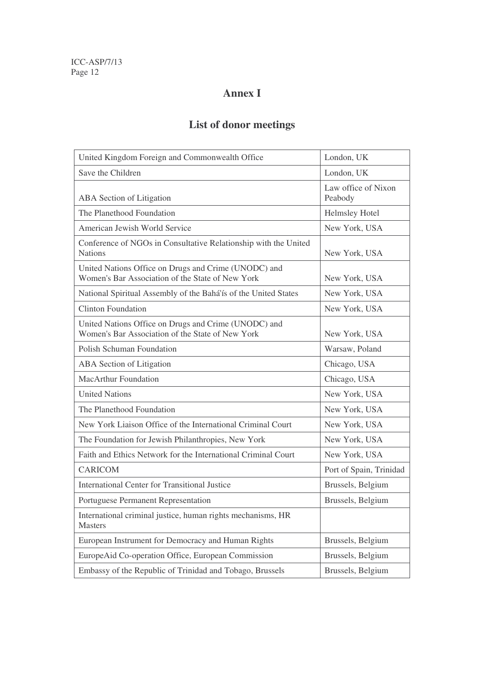# **Annex I**

# **List of donor meetings**

| United Kingdom Foreign and Commonwealth Office                                                           | London, UK                     |
|----------------------------------------------------------------------------------------------------------|--------------------------------|
| Save the Children                                                                                        | London, UK                     |
| ABA Section of Litigation                                                                                | Law office of Nixon<br>Peabody |
| The Planethood Foundation                                                                                | Helmsley Hotel                 |
| American Jewish World Service                                                                            | New York, USA                  |
| Conference of NGOs in Consultative Relationship with the United<br><b>Nations</b>                        | New York, USA                  |
| United Nations Office on Drugs and Crime (UNODC) and<br>Women's Bar Association of the State of New York | New York, USA                  |
| National Spiritual Assembly of the Bahá'ís of the United States                                          | New York, USA                  |
| <b>Clinton Foundation</b>                                                                                | New York, USA                  |
| United Nations Office on Drugs and Crime (UNODC) and<br>Women's Bar Association of the State of New York | New York, USA                  |
| Polish Schuman Foundation                                                                                | Warsaw, Poland                 |
| ABA Section of Litigation                                                                                | Chicago, USA                   |
| <b>MacArthur Foundation</b>                                                                              | Chicago, USA                   |
| <b>United Nations</b>                                                                                    | New York, USA                  |
| The Planethood Foundation                                                                                | New York, USA                  |
| New York Liaison Office of the International Criminal Court                                              | New York, USA                  |
| The Foundation for Jewish Philanthropies, New York                                                       | New York, USA                  |
| Faith and Ethics Network for the International Criminal Court                                            | New York, USA                  |
| <b>CARICOM</b>                                                                                           | Port of Spain, Trinidad        |
| <b>International Center for Transitional Justice</b>                                                     | Brussels, Belgium              |
| Portuguese Permanent Representation                                                                      | Brussels, Belgium              |
| International criminal justice, human rights mechanisms, HR<br><b>Masters</b>                            |                                |
| European Instrument for Democracy and Human Rights                                                       | Brussels, Belgium              |
| EuropeAid Co-operation Office, European Commission                                                       | Brussels, Belgium              |
| Embassy of the Republic of Trinidad and Tobago, Brussels                                                 | Brussels, Belgium              |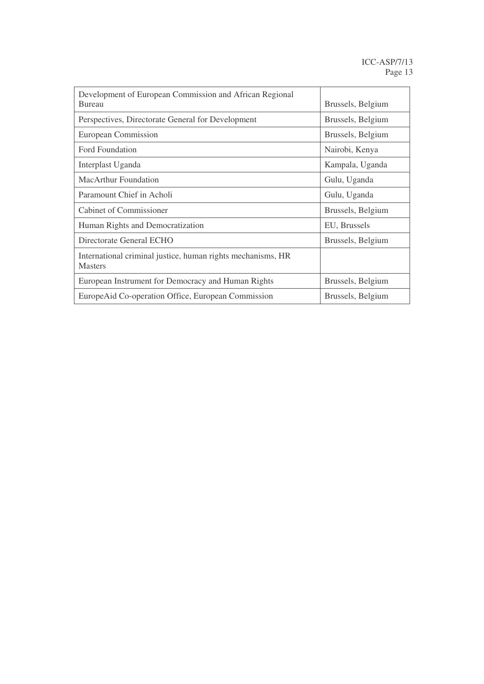| Development of European Commission and African Regional<br><b>Bureau</b>      | Brussels, Belgium |
|-------------------------------------------------------------------------------|-------------------|
| Perspectives, Directorate General for Development                             | Brussels, Belgium |
| European Commission                                                           | Brussels, Belgium |
| Ford Foundation                                                               | Nairobi, Kenya    |
| Interplast Uganda                                                             | Kampala, Uganda   |
| MacArthur Foundation                                                          | Gulu, Uganda      |
| Paramount Chief in Acholi                                                     | Gulu, Uganda      |
| Cabinet of Commissioner                                                       | Brussels, Belgium |
| Human Rights and Democratization                                              | EU, Brussels      |
| Directorate General ECHO                                                      | Brussels, Belgium |
| International criminal justice, human rights mechanisms, HR<br><b>Masters</b> |                   |
| European Instrument for Democracy and Human Rights                            | Brussels, Belgium |
| EuropeAid Co-operation Office, European Commission                            | Brussels, Belgium |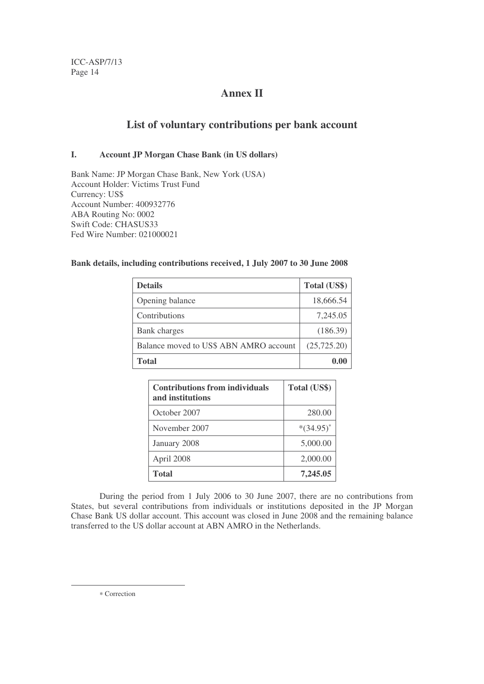## **Annex II**

## **List of voluntary contributions per bank account**

## **I. Account JP Morgan Chase Bank (in US dollars)**

Bank Name: JP Morgan Chase Bank, New York (USA) Account Holder: Victims Trust Fund Currency: US\$ Account Number: 400932776 ABA Routing No: 0002 Swift Code: CHASUS33 Fed Wire Number: 021000021

## **Bank details, including contributions received, 1 July 2007 to 30 June 2008**

| <b>Details</b>                         | Total (US\$) |
|----------------------------------------|--------------|
| Opening balance                        | 18,666.54    |
| Contributions                          | 7,245.05     |
| Bank charges                           | (186.39)     |
| Balance moved to US\$ ABN AMRO account | (25, 725.20) |
| <b>Total</b>                           |              |

| <b>Contributions from individuals</b><br>and institutions | Total (US\$) |
|-----------------------------------------------------------|--------------|
| October 2007                                              | 280.00       |
| November 2007                                             | $*(34.95)^*$ |
| January 2008                                              | 5,000.00     |
| April 2008                                                | 2,000.00     |
| <b>Total</b>                                              | 7,245,05     |

During the period from 1 July 2006 to 30 June 2007, there are no contributions from States, but several contributions from individuals or institutions deposited in the JP Morgan Chase Bank US dollar account. This account was closed in June 2008 and the remaining balance transferred to the US dollar account at ABN AMRO in the Netherlands.

∗ Correction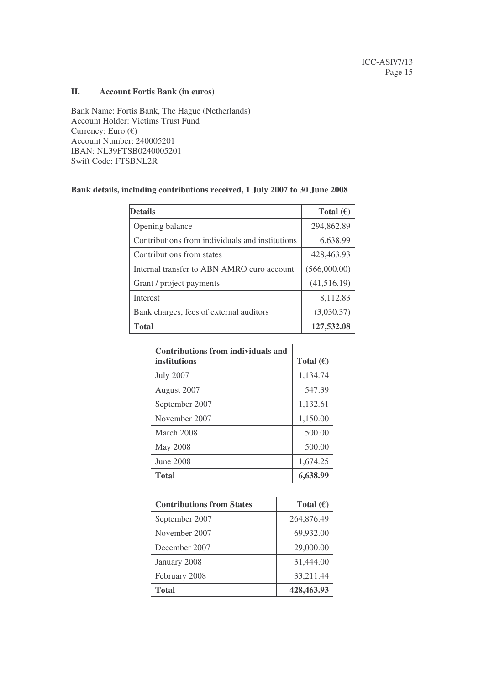## **II. Account Fortis Bank (in euros)**

Bank Name: Fortis Bank, The Hague (Netherlands) Account Holder: Victims Trust Fund Currency: Euro  $(\epsilon)$ Account Number: 240005201 IBAN: NL39FTSB0240005201 Swift Code: FTSBNL2R

#### **Bank details, including contributions received, 1 July 2007 to 30 June 2008**

| <b>Details</b>                                  | Total $(\epsilon)$ |
|-------------------------------------------------|--------------------|
| Opening balance                                 | 294,862.89         |
| Contributions from individuals and institutions | 6,638.99           |
| Contributions from states                       | 428,463.93         |
| Internal transfer to ABN AMRO euro account      | (566,000.00)       |
| Grant / project payments                        | (41,516.19)        |
| <b>Interest</b>                                 | 8,112.83           |
| Bank charges, fees of external auditors         | (3,030.37)         |
| <b>Total</b>                                    | 127,532.08         |

| <b>Contributions from individuals and</b> |                    |
|-------------------------------------------|--------------------|
| institutions                              | Total $(\epsilon)$ |
| <b>July 2007</b>                          | 1,134.74           |
| August 2007                               | 547.39             |
| September 2007                            | 1,132.61           |
| November 2007                             | 1,150.00           |
| March 2008                                | 500.00             |
| May 2008                                  | 500.00             |
| June 2008                                 | 1,674.25           |
| <b>Total</b>                              | 6,638.99           |

| <b>Contributions from States</b> | Total $(\epsilon)$ |
|----------------------------------|--------------------|
| September 2007                   | 264,876.49         |
| November 2007                    | 69,932.00          |
| December 2007                    | 29,000.00          |
| January 2008                     | 31,444.00          |
| February 2008                    | 33,211.44          |
| <b>Total</b>                     | 428,463.93         |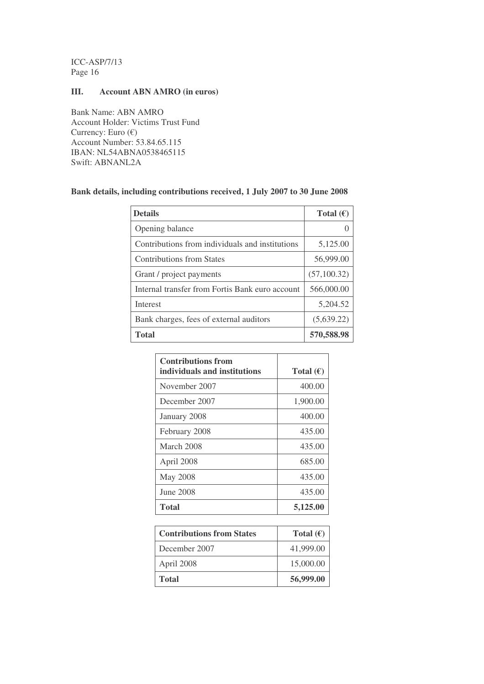## **III. Account ABN AMRO (in euros)**

Bank Name: ABN AMRO Account Holder: Victims Trust Fund Currency: Euro (€) Account Number: 53.84.65.115 IBAN: NL54ABNA0538465115 Swift: ABNANL2A

## **Bank details, including contributions received, 1 July 2007 to 30 June 2008**

| <b>Details</b>                                  | Total $(\epsilon)$ |
|-------------------------------------------------|--------------------|
| Opening balance                                 |                    |
| Contributions from individuals and institutions | 5,125.00           |
| <b>Contributions from States</b>                | 56,999.00          |
| Grant / project payments                        | (57, 100.32)       |
| Internal transfer from Fortis Bank euro account | 566,000.00         |
| <b>Interest</b>                                 | 5,204.52           |
| Bank charges, fees of external auditors         | (5,639.22)         |
| <b>Total</b>                                    | 570,588.98         |

| <b>Contributions from</b><br>individuals and institutions | Total $(\epsilon)$ |
|-----------------------------------------------------------|--------------------|
| November 2007                                             | 400.00             |
| December 2007                                             | 1,900.00           |
| January 2008                                              | 400.00             |
| February 2008                                             | 435.00             |
| March 2008                                                | 435.00             |
| April 2008                                                | 685.00             |
| <b>May 2008</b>                                           | 435.00             |
| June 2008                                                 | 435.00             |
| <b>Total</b>                                              | 5,125.00           |

| <b>Contributions from States</b> | Total $(\epsilon)$ |
|----------------------------------|--------------------|
| December 2007                    | 41,999.00          |
| April 2008                       | 15,000.00          |
| <b>Total</b>                     | 56,999.00          |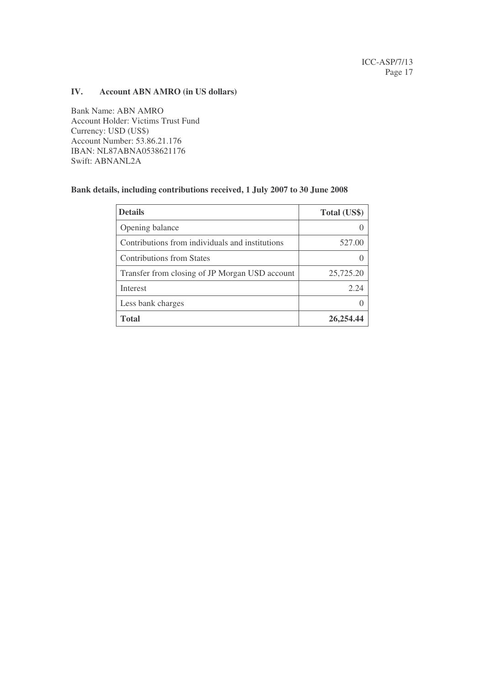## **IV. Account ABN AMRO (in US dollars)**

Bank Name: ABN AMRO Account Holder: Victims Trust Fund Currency: USD (US\$) Account Number: 53.86.21.176 IBAN: NL87ABNA0538621176 Swift: ABNANL2A

#### **Bank details, including contributions received, 1 July 2007 to 30 June 2008**

| <b>Details</b>                                  | Total (US\$) |
|-------------------------------------------------|--------------|
| Opening balance                                 |              |
| Contributions from individuals and institutions | 527.00       |
| <b>Contributions from States</b>                |              |
| Transfer from closing of JP Morgan USD account  | 25,725.20    |
| <b>Interest</b>                                 | 2.24         |
| Less bank charges                               |              |
| <b>Total</b>                                    | 26,254.44    |